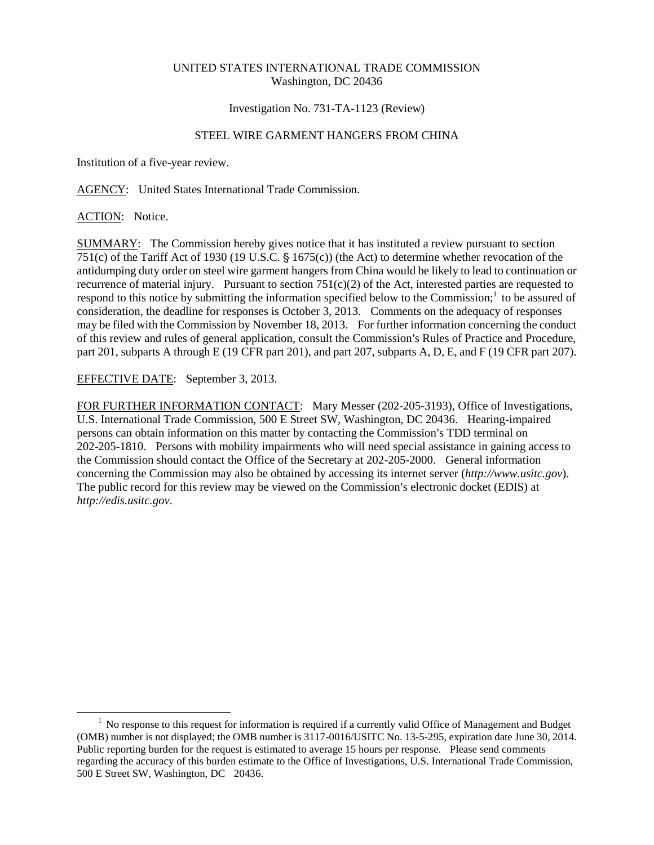## UNITED STATES INTERNATIONAL TRADE COMMISSION Washington, DC 20436

## Investigation No. 731-TA-1123 (Review)

# STEEL WIRE GARMENT HANGERS FROM CHINA

Institution of a five-year review.

AGENCY: United States International Trade Commission.

## ACTION: Notice.

 $\overline{a}$ 

SUMMARY: The Commission hereby gives notice that it has instituted a review pursuant to section 751(c) of the Tariff Act of 1930 (19 U.S.C.  $\S$  1675(c)) (the Act) to determine whether revocation of the antidumping duty order on steel wire garment hangers from China would be likely to lead to continuation or recurrence of material injury. Pursuant to section  $751(c)(2)$  of the Act, interested parties are requested to respond to this notice by submitting the information specified below to the Commission; $\frac{1}{1}$  to be assured of consideration, the deadline for responses is October 3, 2013. Comments on the adequacy of responses may be filed with the Commission by November 18, 2013. For further information concerning the conduct of this review and rules of general application, consult the Commission's Rules of Practice and Procedure, part 201, subparts A through E (19 CFR part 201), and part 207, subparts A, D, E, and F (19 CFR part 207).

EFFECTIVE DATE: September 3, 2013.

FOR FURTHER INFORMATION CONTACT: Mary Messer (202-205-3193), Office of Investigations, U.S. International Trade Commission, 500 E Street SW, Washington, DC 20436. Hearing-impaired persons can obtain information on this matter by contacting the Commission's TDD terminal on 202-205-1810. Persons with mobility impairments who will need special assistance in gaining access to the Commission should contact the Office of the Secretary at 202-205-2000. General information concerning the Commission may also be obtained by accessing its internet server (*http://www.usitc.gov*). The public record for this review may be viewed on the Commission's electronic docket (EDIS) at *http://edis.usitc.gov*.

<sup>&</sup>lt;sup>1</sup> No response to this request for information is required if a currently valid Office of Management and Budget (OMB) number is not displayed; the OMB number is 3117-0016/USITC No. 13-5-295, expiration date June 30, 2014. Public reporting burden for the request is estimated to average 15 hours per response. Please send comments regarding the accuracy of this burden estimate to the Office of Investigations, U.S. International Trade Commission, 500 E Street SW, Washington, DC 20436.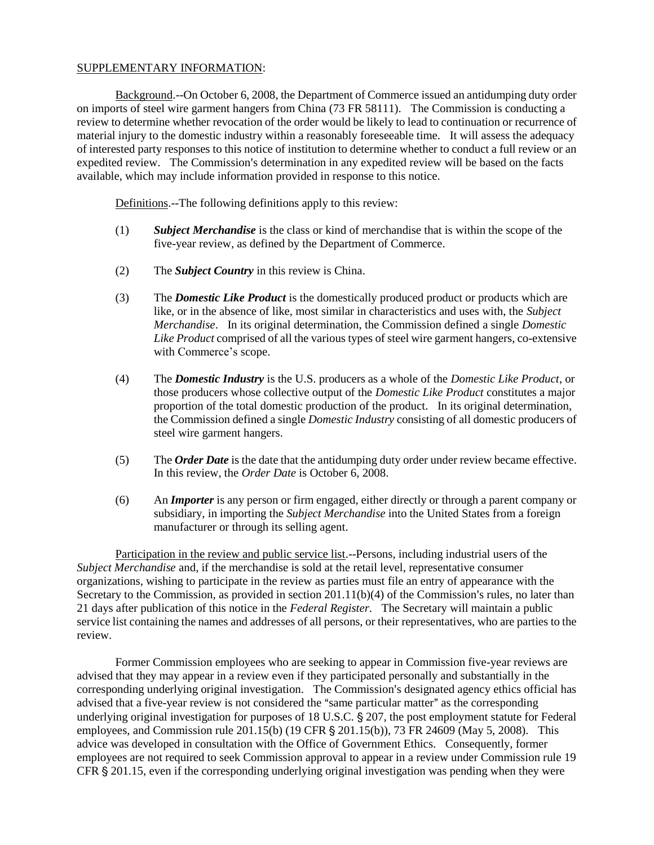#### SUPPLEMENTARY INFORMATION:

Background.--On October 6, 2008, the Department of Commerce issued an antidumping duty order on imports of steel wire garment hangers from China (73 FR 58111). The Commission is conducting a review to determine whether revocation of the order would be likely to lead to continuation or recurrence of material injury to the domestic industry within a reasonably foreseeable time. It will assess the adequacy of interested party responses to this notice of institution to determine whether to conduct a full review or an expedited review. The Commission's determination in any expedited review will be based on the facts available, which may include information provided in response to this notice.

Definitions.--The following definitions apply to this review:

- (1) *Subject Merchandise* is the class or kind of merchandise that is within the scope of the five-year review, as defined by the Department of Commerce.
- (2) The *Subject Country* in this review is China.
- (3) The *Domestic Like Product* is the domestically produced product or products which are like, or in the absence of like, most similar in characteristics and uses with, the *Subject Merchandise*. In its original determination, the Commission defined a single *Domestic Like Product* comprised of all the various types of steel wire garment hangers, co-extensive with Commerce's scope.
- (4) The *Domestic Industry* is the U.S. producers as a whole of the *Domestic Like Product*, or those producers whose collective output of the *Domestic Like Product* constitutes a major proportion of the total domestic production of the product. In its original determination, the Commission defined a single *Domestic Industry* consisting of all domestic producers of steel wire garment hangers.
- (5) The *Order Date* is the date that the antidumping duty order under review became effective. In this review, the *Order Date* is October 6, 2008.
- (6) An *Importer* is any person or firm engaged, either directly or through a parent company or subsidiary, in importing the *Subject Merchandise* into the United States from a foreign manufacturer or through its selling agent.

Participation in the review and public service list.--Persons, including industrial users of the *Subject Merchandise* and, if the merchandise is sold at the retail level, representative consumer organizations, wishing to participate in the review as parties must file an entry of appearance with the Secretary to the Commission, as provided in section  $201.11(b)(4)$  of the Commission's rules, no later than 21 days after publication of this notice in the *Federal Register*. The Secretary will maintain a public service list containing the names and addresses of all persons, or their representatives, who are parties to the review.

Former Commission employees who are seeking to appear in Commission five-year reviews are advised that they may appear in a review even if they participated personally and substantially in the corresponding underlying original investigation. The Commission's designated agency ethics official has advised that a five-year review is not considered the "same particular matter" as the corresponding underlying original investigation for purposes of 18 U.S.C. § 207, the post employment statute for Federal employees, and Commission rule  $201.15(b)$  (19 CFR § 201.15(b)), 73 FR 24609 (May 5, 2008). This advice was developed in consultation with the Office of Government Ethics. Consequently, former employees are not required to seek Commission approval to appear in a review under Commission rule 19 CFR  $\S 201.15$ , even if the corresponding underlying original investigation was pending when they were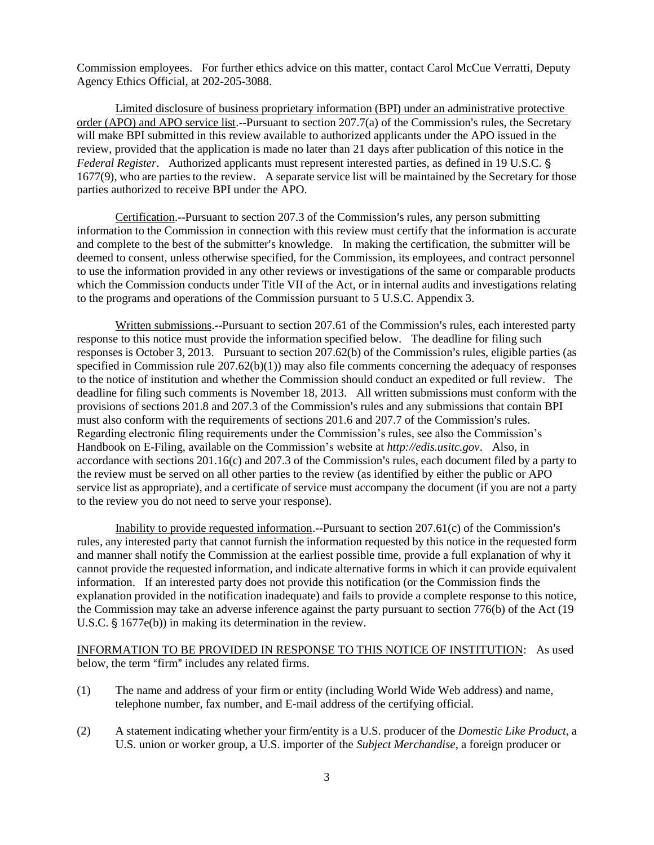Commission employees. For further ethics advice on this matter, contact Carol McCue Verratti, Deputy Agency Ethics Official, at 202-205-3088.

Limited disclosure of business proprietary information (BPI) under an administrative protective order (APO) and APO service list.--Pursuant to section  $207.7(a)$  of the Commission's rules, the Secretary will make BPI submitted in this review available to authorized applicants under the APO issued in the review, provided that the application is made no later than 21 days after publication of this notice in the *Federal Register.* Authorized applicants must represent interested parties, as defined in 19 U.S.C. § 1677(9), who are parties to the review. A separate service list will be maintained by the Secretary for those parties authorized to receive BPI under the APO.

Certification.--Pursuant to section 207.3 of the Commission's rules, any person submitting information to the Commission in connection with this review must certify that the information is accurate and complete to the best of the submitter's knowledge. In making the certification, the submitter will be deemed to consent, unless otherwise specified, for the Commission, its employees, and contract personnel to use the information provided in any other reviews or investigations of the same or comparable products which the Commission conducts under Title VII of the Act, or in internal audits and investigations relating to the programs and operations of the Commission pursuant to 5 U.S.C. Appendix 3.

Written submissions.--Pursuant to section 207.61 of the Commission's rules, each interested party response to this notice must provide the information specified below. The deadline for filing such responses is October 3, 2013. Pursuant to section 207.62(b) of the Commission's rules, eligible parties (as specified in Commission rule  $207.62(b)(1)$  may also file comments concerning the adequacy of responses to the notice of institution and whether the Commission should conduct an expedited or full review. The deadline for filing such comments is November 18, 2013. All written submissions must conform with the provisions of sections 201.8 and 207.3 of the Commission's rules and any submissions that contain BPI must also conform with the requirements of sections  $201.6$  and  $207.7$  of the Commission's rules. Regarding electronic filing requirements under the Commission's rules, see also the Commission's Handbook on E-Filing, available on the Commission's website at *http://edis.usitc.gov*. Also, in accordance with sections  $201.16(c)$  and  $207.3$  of the Commission's rules, each document filed by a party to the review must be served on all other parties to the review (as identified by either the public or APO service list as appropriate), and a certificate of service must accompany the document (if you are not a party to the review you do not need to serve your response).

Inability to provide requested information.--Pursuant to section  $207.61(c)$  of the Commission's rules, any interested party that cannot furnish the information requested by this notice in the requested form and manner shall notify the Commission at the earliest possible time, provide a full explanation of why it cannot provide the requested information, and indicate alternative forms in which it can provide equivalent information. If an interested party does not provide this notification (or the Commission finds the explanation provided in the notification inadequate) and fails to provide a complete response to this notice, the Commission may take an adverse inference against the party pursuant to section 776(b) of the Act (19 U.S.C.  $\S$  1677e(b)) in making its determination in the review.

INFORMATION TO BE PROVIDED IN RESPONSE TO THIS NOTICE OF INSTITUTION: As used below, the term "firm" includes any related firms.

- (1) The name and address of your firm or entity (including World Wide Web address) and name, telephone number, fax number, and E-mail address of the certifying official.
- (2) A statement indicating whether your firm/entity is a U.S. producer of the *Domestic Like Product*, a U.S. union or worker group, a U.S. importer of the *Subject Merchandise*, a foreign producer or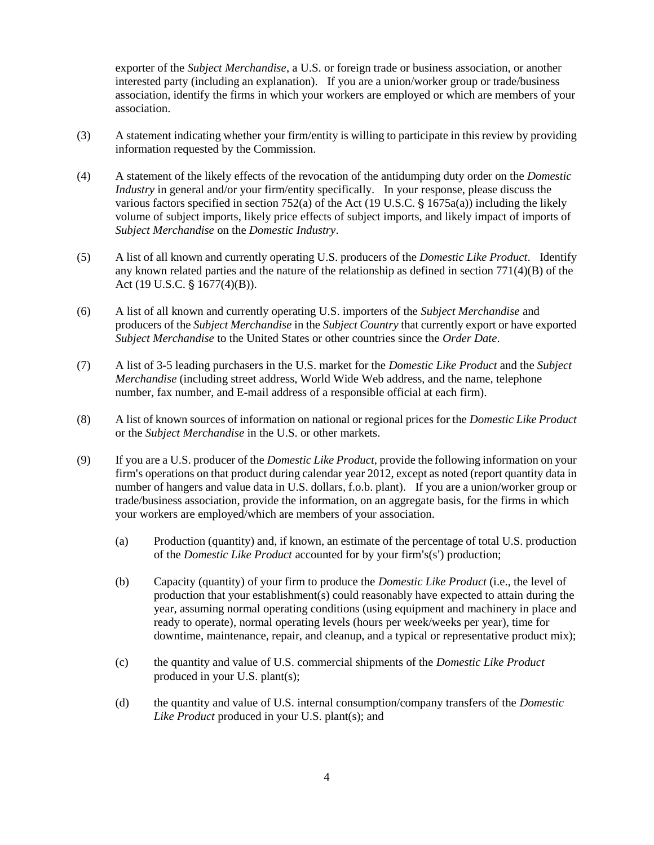exporter of the *Subject Merchandise*, a U.S. or foreign trade or business association, or another interested party (including an explanation). If you are a union/worker group or trade/business association, identify the firms in which your workers are employed or which are members of your association.

- (3) A statement indicating whether your firm/entity is willing to participate in this review by providing information requested by the Commission.
- (4) A statement of the likely effects of the revocation of the antidumping duty order on the *Domestic Industry* in general and/or your firm/entity specifically. In your response, please discuss the various factors specified in section 752(a) of the Act (19 U.S.C.  $\S$  1675a(a)) including the likely volume of subject imports, likely price effects of subject imports, and likely impact of imports of *Subject Merchandise* on the *Domestic Industry*.
- (5) A list of all known and currently operating U.S. producers of the *Domestic Like Product*. Identify any known related parties and the nature of the relationship as defined in section  $771(4)(B)$  of the Act (19 U.S.C.  $\S$  1677(4)(B)).
- (6) A list of all known and currently operating U.S. importers of the *Subject Merchandise* and producers of the *Subject Merchandise* in the *Subject Country* that currently export or have exported *Subject Merchandise* to the United States or other countries since the *Order Date*.
- (7) A list of 3-5 leading purchasers in the U.S. market for the *Domestic Like Product* and the *Subject Merchandise* (including street address, World Wide Web address, and the name, telephone number, fax number, and E-mail address of a responsible official at each firm).
- (8) A list of known sources of information on national or regional prices for the *Domestic Like Product* or the *Subject Merchandise* in the U.S. or other markets.
- (9) If you are a U.S. producer of the *Domestic Like Product*, provide the following information on your firm's operations on that product during calendar year 2012, except as noted (report quantity data in number of hangers and value data in U.S. dollars, f.o.b. plant). If you are a union/worker group or trade/business association, provide the information, on an aggregate basis, for the firms in which your workers are employed/which are members of your association.
	- (a) Production (quantity) and, if known, an estimate of the percentage of total U.S. production of the *Domestic Like Product* accounted for by your firm's(s') production;
	- (b) Capacity (quantity) of your firm to produce the *Domestic Like Product* (i.e., the level of production that your establishment(s) could reasonably have expected to attain during the year, assuming normal operating conditions (using equipment and machinery in place and ready to operate), normal operating levels (hours per week/weeks per year), time for downtime, maintenance, repair, and cleanup, and a typical or representative product mix);
	- (c) the quantity and value of U.S. commercial shipments of the *Domestic Like Product* produced in your U.S. plant(s);
	- (d) the quantity and value of U.S. internal consumption/company transfers of the *Domestic Like Product* produced in your U.S. plant(s); and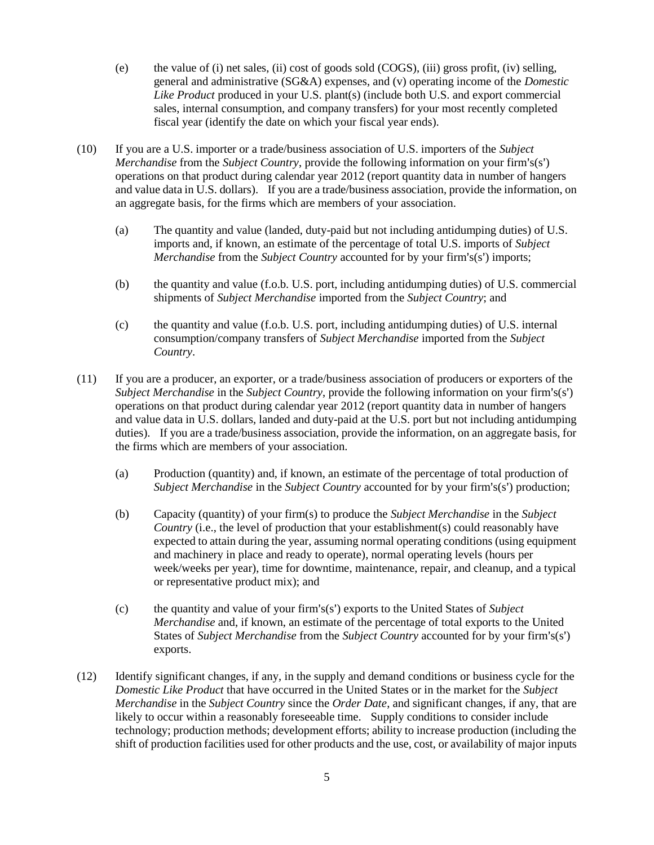- (e) the value of (i) net sales, (ii) cost of goods sold (COGS), (iii) gross profit, (iv) selling, general and administrative (SG&A) expenses, and (v) operating income of the *Domestic Like Product* produced in your U.S. plant(s) (include both U.S. and export commercial sales, internal consumption, and company transfers) for your most recently completed fiscal year (identify the date on which your fiscal year ends).
- (10) If you are a U.S. importer or a trade/business association of U.S. importers of the *Subject Merchandise* from the *Subject Country*, provide the following information on your firm's(s') operations on that product during calendar year 2012 (report quantity data in number of hangers and value data in U.S. dollars). If you are a trade/business association, provide the information, on an aggregate basis, for the firms which are members of your association.
	- (a) The quantity and value (landed, duty-paid but not including antidumping duties) of U.S. imports and, if known, an estimate of the percentage of total U.S. imports of *Subject Merchandise* from the *Subject Country* accounted for by your firm's(s') imports;
	- (b) the quantity and value (f.o.b. U.S. port, including antidumping duties) of U.S. commercial shipments of *Subject Merchandise* imported from the *Subject Country*; and
	- (c) the quantity and value (f.o.b. U.S. port, including antidumping duties) of U.S. internal consumption/company transfers of *Subject Merchandise* imported from the *Subject Country*.
- (11) If you are a producer, an exporter, or a trade/business association of producers or exporters of the *Subject Merchandise* in the *Subject Country*, provide the following information on your firm's(s') operations on that product during calendar year 2012 (report quantity data in number of hangers and value data in U.S. dollars, landed and duty-paid at the U.S. port but not including antidumping duties). If you are a trade/business association, provide the information, on an aggregate basis, for the firms which are members of your association.
	- (a) Production (quantity) and, if known, an estimate of the percentage of total production of *Subject Merchandise* in the *Subject Country* accounted for by your firm's(s') production;
	- (b) Capacity (quantity) of your firm(s) to produce the *Subject Merchandise* in the *Subject Country* (i.e., the level of production that your establishment(s) could reasonably have expected to attain during the year, assuming normal operating conditions (using equipment and machinery in place and ready to operate), normal operating levels (hours per week/weeks per year), time for downtime, maintenance, repair, and cleanup, and a typical or representative product mix); and
	- (c) the quantity and value of your firm's(s') exports to the United States of *Subject Merchandise* and, if known, an estimate of the percentage of total exports to the United States of *Subject Merchandise* from the *Subject Country* accounted for by your firm's(s') exports.
- (12) Identify significant changes, if any, in the supply and demand conditions or business cycle for the *Domestic Like Product* that have occurred in the United States or in the market for the *Subject Merchandise* in the *Subject Country* since the *Order Date*, and significant changes, if any, that are likely to occur within a reasonably foreseeable time. Supply conditions to consider include technology; production methods; development efforts; ability to increase production (including the shift of production facilities used for other products and the use, cost, or availability of major inputs